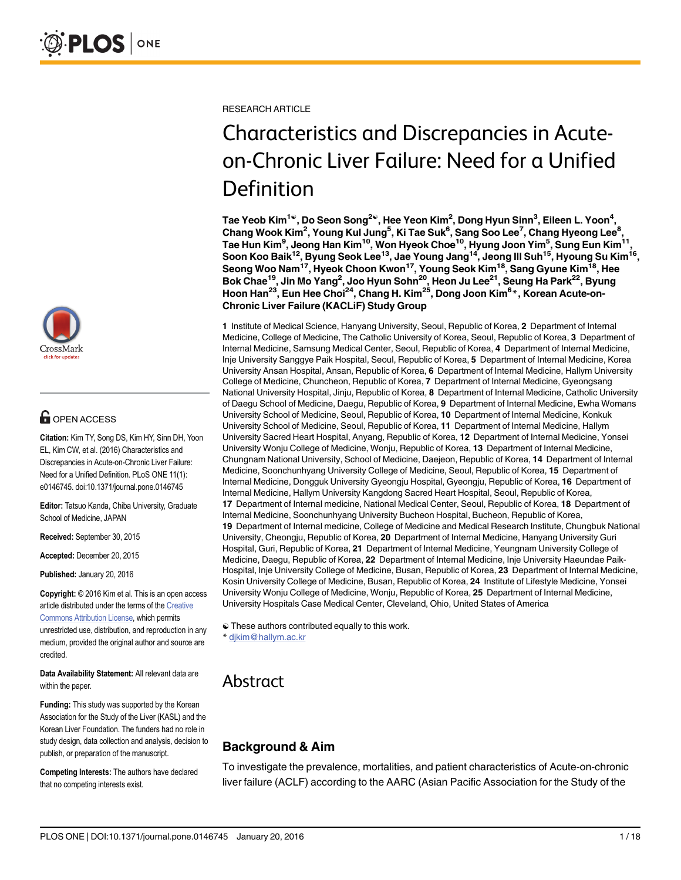

# **OPEN ACCESS**

Citation: Kim TY, Song DS, Kim HY, Sinn DH, Yoon EL, Kim CW, et al. (2016) Characteristics and Discrepancies in Acute-on-Chronic Liver Failure: Need for a Unified Definition. PLoS ONE 11(1): e0146745. doi:10.1371/journal.pone.0146745

Editor: Tatsuo Kanda, Chiba University, Graduate School of Medicine, JAPAN

Received: September 30, 2015

Accepted: December 20, 2015

Published: January 20, 2016

Copyright: © 2016 Kim et al. This is an open access article distributed under the terms of the [Creative](http://creativecommons.org/licenses/by/4.0/) [Commons Attribution License](http://creativecommons.org/licenses/by/4.0/), which permits unrestricted use, distribution, and reproduction in any medium, provided the original author and source are credited.

Data Availability Statement: All relevant data are within the paper.

Funding: This study was supported by the Korean Association for the Study of the Liver (KASL) and the Korean Liver Foundation. The funders had no role in study design, data collection and analysis, decision to publish, or preparation of the manuscript.

Competing Interests: The authors have declared that no competing interests exist.

RESEARCH ARTICLE

# Characteristics and Discrepancies in Acuteon-Chronic Liver Failure: Need for a Unified Definition

Tae Yeob Kim $^{1}$ ®, Do Seon Song $^{2}$ ®, Hee Yeon Kim $^{2}$ , Dong Hyun Sinn $^{3}$ , Eileen L. Yoon $^{4}$ , Chang Wook Kim<sup>2</sup>, Young Kul Jung<sup>5</sup>, Ki Tae Suk<sup>6</sup>, Sang Soo Lee<sup>7</sup>, Chang Hyeong Lee<sup>8</sup>, Tae Hun Kim<sup>9</sup>, Jeong Han Kim<sup>10</sup>, Won Hyeok Choe<sup>10</sup>, Hyung Joon Yim<sup>5</sup>, Sung Eun Kim<sup>11</sup>, Soon Koo Baik $^{12}$ , Byung Seok Lee $^{13}$ , Jae Young Jang $^{14}$ , Jeong III Suh $^{15}$ , Hyoung Su Kim $^{16}$ , Seong Woo Nam<sup>17</sup>, Hyeok Choon Kwon<sup>17</sup>, Young Seok Kim<sup>18</sup>, Sang Gyune Kim<sup>18</sup>, Hee Bok Chae<sup>19</sup>, Jin Mo Yang<sup>2</sup>, Joo Hyun Sohn<sup>20</sup>, Heon Ju Lee<sup>21</sup>, Seung Ha Park<sup>22</sup>, Byung Hoon Han<sup>23</sup>, Eun Hee Choi<sup>24</sup>, Chang H. Kim<sup>25</sup>, Dong Joon Kim<sup>6</sup>\*, Korean Acute-on-Chronic Liver Failure (KACLiF) Study Group

1 Institute of Medical Science, Hanyang University, Seoul, Republic of Korea, 2 Department of Internal Medicine, College of Medicine, The Catholic University of Korea, Seoul, Republic of Korea, 3 Department of Internal Medicine, Samsung Medical Center, Seoul, Republic of Korea, 4 Department of Internal Medicine, Inje University Sanggye Paik Hospital, Seoul, Republic of Korea, 5 Department of Internal Medicine, Korea University Ansan Hospital, Ansan, Republic of Korea, 6 Department of Internal Medicine, Hallym University College of Medicine, Chuncheon, Republic of Korea, 7 Department of Internal Medicine, Gyeongsang National University Hospital, Jinju, Republic of Korea, 8 Department of Internal Medicine, Catholic University of Daegu School of Medicine, Daegu, Republic of Korea, 9 Department of Internal Medicine, Ewha Womans University School of Medicine, Seoul, Republic of Korea, 10 Department of Internal Medicine, Konkuk University School of Medicine, Seoul, Republic of Korea, 11 Department of Internal Medicine, Hallym University Sacred Heart Hospital, Anyang, Republic of Korea, 12 Department of Internal Medicine, Yonsei University Wonju College of Medicine, Wonju, Republic of Korea, 13 Department of Internal Medicine, Chungnam National University, School of Medicine, Daejeon, Republic of Korea, 14 Department of Internal Medicine, Soonchunhyang University College of Medicine, Seoul, Republic of Korea, 15 Department of Internal Medicine, Dongguk University Gyeongju Hospital, Gyeongju, Republic of Korea, 16 Department of Internal Medicine, Hallym University Kangdong Sacred Heart Hospital, Seoul, Republic of Korea, 17 Department of Internal medicine, National Medical Center, Seoul, Republic of Korea, 18 Department of Internal Medicine, Soonchunhyang University Bucheon Hospital, Bucheon, Republic of Korea, 19 Department of Internal medicine, College of Medicine and Medical Research Institute, Chungbuk National University, Cheongju, Republic of Korea, 20 Department of Internal Medicine, Hanyang University Guri Hospital, Guri, Republic of Korea, 21 Department of Internal Medicine, Yeungnam University College of Medicine, Daegu, Republic of Korea, 22 Department of Internal Medicine, Inje University Haeundae Paik-Hospital, Inje University College of Medicine, Busan, Republic of Korea, 23 Department of Internal Medicine, Kosin University College of Medicine, Busan, Republic of Korea, 24 Institute of Lifestyle Medicine, Yonsei University Wonju College of Medicine, Wonju, Republic of Korea, 25 Department of Internal Medicine, University Hospitals Case Medical Center, Cleveland, Ohio, United States of America

☯ These authors contributed equally to this work. \* djkim@hallym.ac.kr

# Abstract

# Background & Aim

To investigate the prevalence, mortalities, and patient characteristics of Acute-on-chronic liver failure (ACLF) according to the AARC (Asian Pacific Association for the Study of the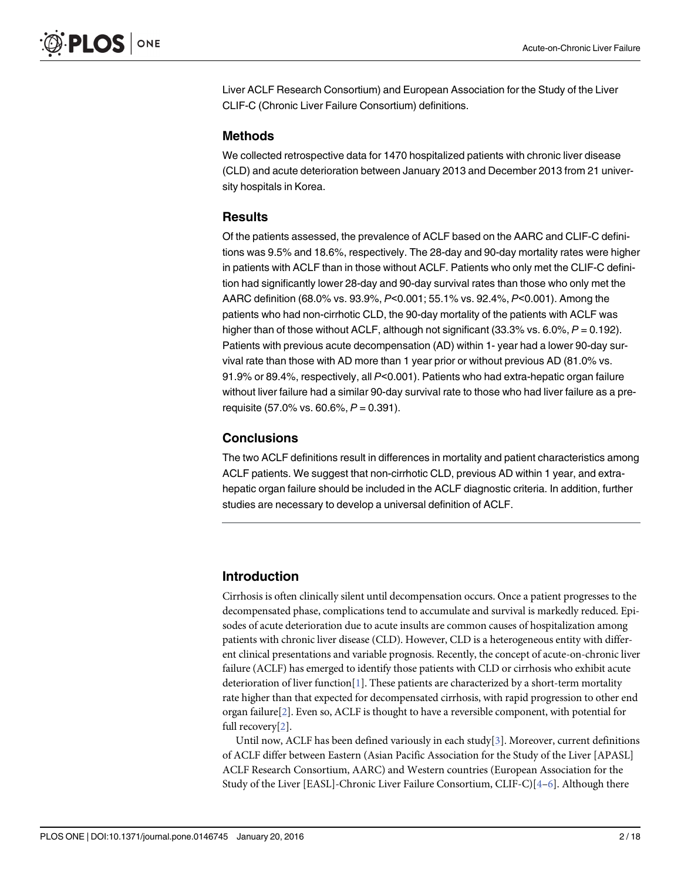<span id="page-1-0"></span>Liver ACLF Research Consortium) and European Association for the Study of the Liver CLIF-C (Chronic Liver Failure Consortium) definitions.

#### Methods

We collected retrospective data for 1470 hospitalized patients with chronic liver disease (CLD) and acute deterioration between January 2013 and December 2013 from 21 university hospitals in Korea.

#### **Results**

Of the patients assessed, the prevalence of ACLF based on the AARC and CLIF-C definitions was 9.5% and 18.6%, respectively. The 28-day and 90-day mortality rates were higher in patients with ACLF than in those without ACLF. Patients who only met the CLIF-C definition had significantly lower 28-day and 90-day survival rates than those who only met the AARC definition (68.0% vs. 93.9%, P<0.001; 55.1% vs. 92.4%, P<0.001). Among the patients who had non-cirrhotic CLD, the 90-day mortality of the patients with ACLF was higher than of those without ACLF, although not significant (33.3% vs. 6.0%,  $P = 0.192$ ). Patients with previous acute decompensation (AD) within 1- year had a lower 90-day survival rate than those with AD more than 1 year prior or without previous AD (81.0% vs. 91.9% or 89.4%, respectively, all P<0.001). Patients who had extra-hepatic organ failure without liver failure had a similar 90-day survival rate to those who had liver failure as a prerequisite (57.0% vs. 60.6%,  $P = 0.391$ ).

#### **Conclusions**

The two ACLF definitions result in differences in mortality and patient characteristics among ACLF patients. We suggest that non-cirrhotic CLD, previous AD within 1 year, and extrahepatic organ failure should be included in the ACLF diagnostic criteria. In addition, further studies are necessary to develop a universal definition of ACLF.

# Introduction

Cirrhosis is often clinically silent until decompensation occurs. Once a patient progresses to the decompensated phase, complications tend to accumulate and survival is markedly reduced. Episodes of acute deterioration due to acute insults are common causes of hospitalization among patients with chronic liver disease (CLD). However, CLD is a heterogeneous entity with different clinical presentations and variable prognosis. Recently, the concept of acute-on-chronic liver failure (ACLF) has emerged to identify those patients with CLD or cirrhosis who exhibit acute deterioration of liver function[[1\]](#page-15-0). These patients are characterized by a short-term mortality rate higher than that expected for decompensated cirrhosis, with rapid progression to other end organ failure[\[2](#page-15-0)]. Even so, ACLF is thought to have a reversible component, with potential for full recovery[\[2\]](#page-15-0).

Until now, ACLF has been defined variously in each study[\[3](#page-15-0)]. Moreover, current definitions of ACLF differ between Eastern (Asian Pacific Association for the Study of the Liver [APASL] ACLF Research Consortium, AARC) and Western countries (European Association for the Study of the Liver [EASL]-Chronic Liver Failure Consortium, CLIF-C)[[4](#page-15-0)–[6](#page-15-0)]. Although there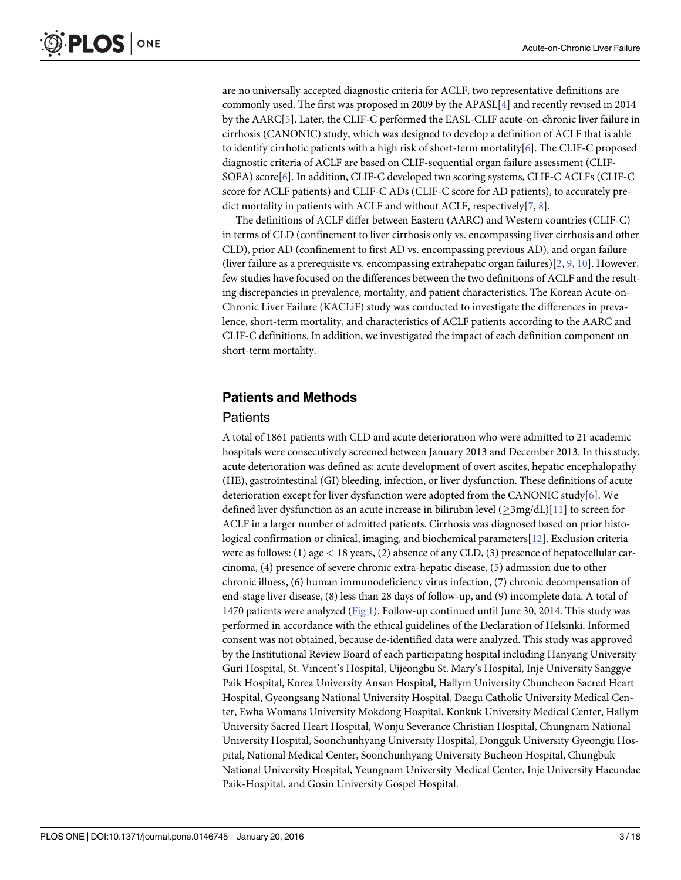<span id="page-2-0"></span>are no universally accepted diagnostic criteria for ACLF, two representative definitions are commonly used. The first was proposed in 2009 by the APASL[[4\]](#page-15-0) and recently revised in 2014 by the AARC[\[5](#page-15-0)]. Later, the CLIF-C performed the EASL-CLIF acute-on-chronic liver failure in cirrhosis (CANONIC) study, which was designed to develop a definition of ACLF that is able to identify cirrhotic patients with a high risk of short-term mortality[\[6](#page-15-0)]. The CLIF-C proposed diagnostic criteria of ACLF are based on CLIF-sequential organ failure assessment (CLIF-SOFA) score[[6\]](#page-15-0). In addition, CLIF-C developed two scoring systems, CLIF-C ACLFs (CLIF-C score for ACLF patients) and CLIF-C ADs (CLIF-C score for AD patients), to accurately predict mortality in patients with ACLF and without ACLF, respectively  $[7, 8]$  $[7, 8]$  $[7, 8]$  $[7, 8]$ .

The definitions of ACLF differ between Eastern (AARC) and Western countries (CLIF-C) in terms of CLD (confinement to liver cirrhosis only vs. encompassing liver cirrhosis and other CLD), prior AD (confinement to first AD vs. encompassing previous AD), and organ failure (liver failure as a prerequisite vs. encompassing extrahepatic organ failures)[\[2](#page-15-0), [9](#page-16-0), [10](#page-16-0)]. However, few studies have focused on the differences between the two definitions of ACLF and the resulting discrepancies in prevalence, mortality, and patient characteristics. The Korean Acute-on-Chronic Liver Failure (KACLiF) study was conducted to investigate the differences in prevalence, short-term mortality, and characteristics of ACLF patients according to the AARC and CLIF-C definitions. In addition, we investigated the impact of each definition component on short-term mortality.

#### Patients and Methods

#### **Patients**

A total of 1861 patients with CLD and acute deterioration who were admitted to 21 academic hospitals were consecutively screened between January 2013 and December 2013. In this study, acute deterioration was defined as: acute development of overt ascites, hepatic encephalopathy (HE), gastrointestinal (GI) bleeding, infection, or liver dysfunction. These definitions of acute deterioration except for liver dysfunction were adopted from the CANONIC study[[6](#page-15-0)]. We defined liver dysfunction as an acute increase in bilirubin level  $(>\frac{3mg}{dL})[11]$  $(>\frac{3mg}{dL})[11]$  to screen for ACLF in a larger number of admitted patients. Cirrhosis was diagnosed based on prior histological confirmation or clinical, imaging, and biochemical parameters[\[12\]](#page-16-0). Exclusion criteria were as follows: (1) age  $<$  18 years, (2) absence of any CLD, (3) presence of hepatocellular carcinoma, (4) presence of severe chronic extra-hepatic disease, (5) admission due to other chronic illness, (6) human immunodeficiency virus infection, (7) chronic decompensation of end-stage liver disease, (8) less than 28 days of follow-up, and (9) incomplete data. A total of 1470 patients were analyzed ([Fig 1\)](#page-3-0). Follow-up continued until June 30, 2014. This study was performed in accordance with the ethical guidelines of the Declaration of Helsinki. Informed consent was not obtained, because de-identified data were analyzed. This study was approved by the Institutional Review Board of each participating hospital including Hanyang University Guri Hospital, St. Vincent's Hospital, Uijeongbu St. Mary's Hospital, Inje University Sanggye Paik Hospital, Korea University Ansan Hospital, Hallym University Chuncheon Sacred Heart Hospital, Gyeongsang National University Hospital, Daegu Catholic University Medical Center, Ewha Womans University Mokdong Hospital, Konkuk University Medical Center, Hallym University Sacred Heart Hospital, Wonju Severance Christian Hospital, Chungnam National University Hospital, Soonchunhyang University Hospital, Dongguk University Gyeongju Hospital, National Medical Center, Soonchunhyang University Bucheon Hospital, Chungbuk National University Hospital, Yeungnam University Medical Center, Inje University Haeundae Paik-Hospital, and Gosin University Gospel Hospital.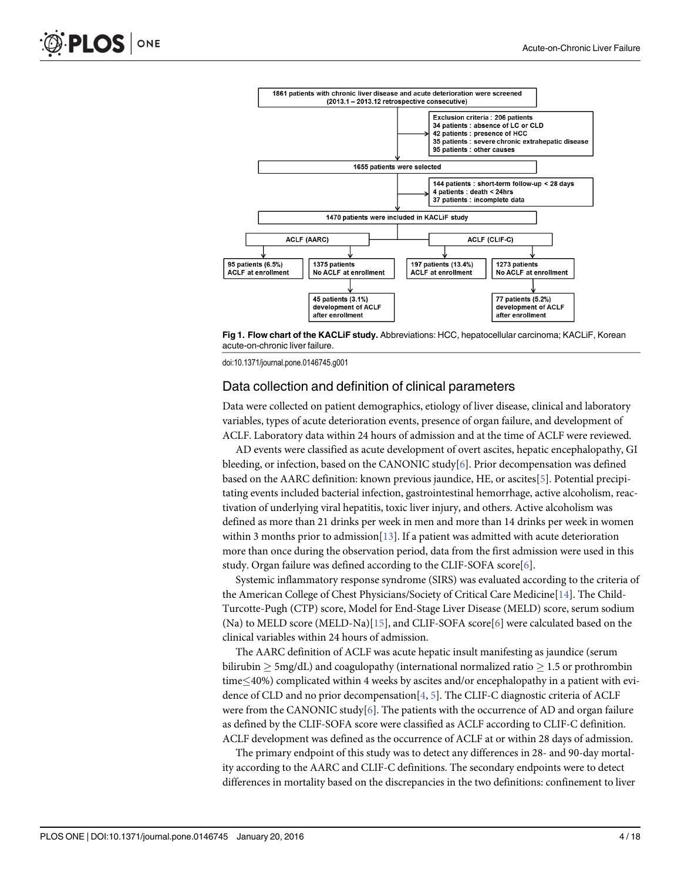<span id="page-3-0"></span>

[Fig 1. F](#page-2-0)low chart of the KACLiF study. Abbreviations: HCC, hepatocellular carcinoma; KACLiF, Korean acute-on-chronic liver failure.

#### Data collection and definition of clinical parameters

Data were collected on patient demographics, etiology of liver disease, clinical and laboratory variables, types of acute deterioration events, presence of organ failure, and development of ACLF. Laboratory data within 24 hours of admission and at the time of ACLF were reviewed.

AD events were classified as acute development of overt ascites, hepatic encephalopathy, GI bleeding, or infection, based on the CANONIC study $[6]$  $[6]$  $[6]$ . Prior decompensation was defined based on the AARC definition: known previous jaundice, HE, or ascites[[5\]](#page-15-0). Potential precipitating events included bacterial infection, gastrointestinal hemorrhage, active alcoholism, reactivation of underlying viral hepatitis, toxic liver injury, and others. Active alcoholism was defined as more than 21 drinks per week in men and more than 14 drinks per week in women within 3 months prior to admission[\[13\]](#page-16-0). If a patient was admitted with acute deterioration more than once during the observation period, data from the first admission were used in this study. Organ failure was defined according to the CLIF-SOFA score<sup>[\[6\]](#page-15-0)</sup>.

Systemic inflammatory response syndrome (SIRS) was evaluated according to the criteria of the American College of Chest Physicians/Society of Critical Care Medicine[\[14\]](#page-16-0). The Child-Turcotte-Pugh (CTP) score, Model for End-Stage Liver Disease (MELD) score, serum sodium (Na) to MELD score (MELD-Na)[[15\]](#page-16-0), and CLIF-SOFA score[\[6\]](#page-15-0) were calculated based on the clinical variables within 24 hours of admission.

The AARC definition of ACLF was acute hepatic insult manifesting as jaundice (serum bilirubin  $\geq$  5mg/dL) and coagulopathy (international normalized ratio  $\geq$  1.5 or prothrombin  $time<$ 40%) complicated within 4 weeks by ascites and/or encephalopathy in a patient with evidence of CLD and no prior decompensation[\[4,](#page-15-0) [5](#page-15-0)]. The CLIF-C diagnostic criteria of ACLF were from the CANONIC study[ $6$ ]. The patients with the occurrence of AD and organ failure as defined by the CLIF-SOFA score were classified as ACLF according to CLIF-C definition. ACLF development was defined as the occurrence of ACLF at or within 28 days of admission.

The primary endpoint of this study was to detect any differences in 28- and 90-day mortality according to the AARC and CLIF-C definitions. The secondary endpoints were to detect differences in mortality based on the discrepancies in the two definitions: confinement to liver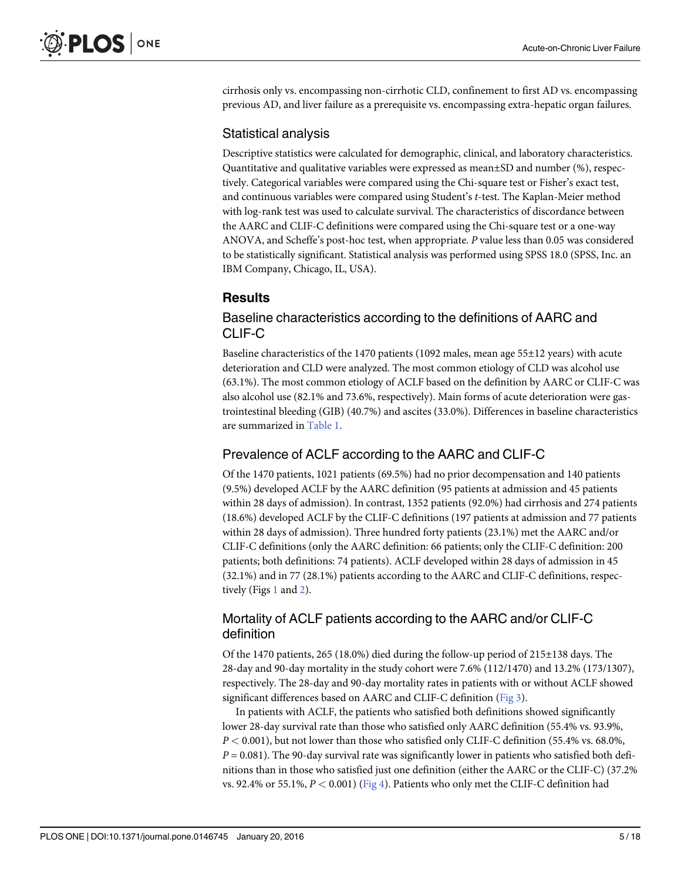<span id="page-4-0"></span>cirrhosis only vs. encompassing non-cirrhotic CLD, confinement to first AD vs. encompassing previous AD, and liver failure as a prerequisite vs. encompassing extra-hepatic organ failures.

#### Statistical analysis

Descriptive statistics were calculated for demographic, clinical, and laboratory characteristics. Quantitative and qualitative variables were expressed as mean±SD and number (%), respectively. Categorical variables were compared using the Chi-square test or Fisher's exact test, and continuous variables were compared using Student's t-test. The Kaplan-Meier method with log-rank test was used to calculate survival. The characteristics of discordance between the AARC and CLIF-C definitions were compared using the Chi-square test or a one-way ANOVA, and Scheffe's post-hoc test, when appropriate. P value less than 0.05 was considered to be statistically significant. Statistical analysis was performed using SPSS 18.0 (SPSS, Inc. an IBM Company, Chicago, IL, USA).

# Results

### Baseline characteristics according to the definitions of AARC and CLIF-C

Baseline characteristics of the 1470 patients (1092 males, mean age 55±12 years) with acute deterioration and CLD were analyzed. The most common etiology of CLD was alcohol use (63.1%). The most common etiology of ACLF based on the definition by AARC or CLIF-C was also alcohol use (82.1% and 73.6%, respectively). Main forms of acute deterioration were gastrointestinal bleeding (GIB) (40.7%) and ascites (33.0%). Differences in baseline characteristics are summarized in [Table 1](#page-5-0).

#### Prevalence of ACLF according to the AARC and CLIF-C

Of the 1470 patients, 1021 patients (69.5%) had no prior decompensation and 140 patients (9.5%) developed ACLF by the AARC definition (95 patients at admission and 45 patients within 28 days of admission). In contrast, 1352 patients (92.0%) had cirrhosis and 274 patients (18.6%) developed ACLF by the CLIF-C definitions (197 patients at admission and 77 patients within 28 days of admission). Three hundred forty patients (23.1%) met the AARC and/or CLIF-C definitions (only the AARC definition: 66 patients; only the CLIF-C definition: 200 patients; both definitions: 74 patients). ACLF developed within 28 days of admission in 45 (32.1%) and in 77 (28.1%) patients according to the AARC and CLIF-C definitions, respectively (Figs [1](#page-3-0) and [2](#page-6-0)).

# Mortality of ACLF patients according to the AARC and/or CLIF-C definition

Of the 1470 patients, 265 (18.0%) died during the follow-up period of 215±138 days. The 28-day and 90-day mortality in the study cohort were 7.6% (112/1470) and 13.2% (173/1307), respectively. The 28-day and 90-day mortality rates in patients with or without ACLF showed significant differences based on AARC and CLIF-C definition [\(Fig 3\)](#page-7-0).

In patients with ACLF, the patients who satisfied both definitions showed significantly lower 28-day survival rate than those who satisfied only AARC definition (55.4% vs. 93.9%,  $P < 0.001$ ), but not lower than those who satisfied only CLIF-C definition (55.4% vs. 68.0%,  $P = 0.081$ ). The 90-day survival rate was significantly lower in patients who satisfied both definitions than in those who satisfied just one definition (either the AARC or the CLIF-C) (37.2% vs. 92.4% or 55.1%,  $P < 0.001$ ) [\(Fig 4\)](#page-7-0). Patients who only met the CLIF-C definition had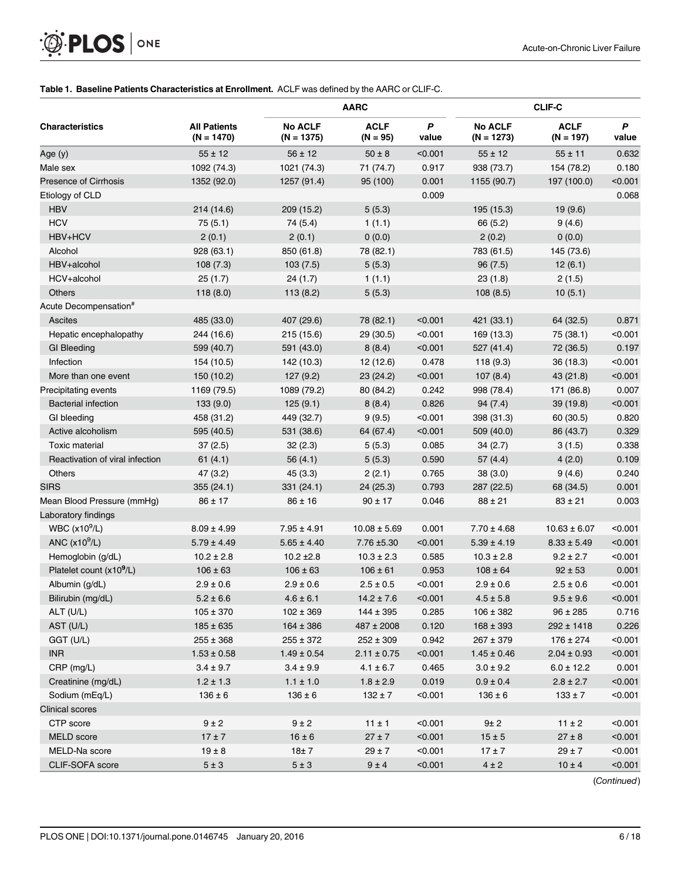<span id="page-5-0"></span>

#### [Table 1.](#page-4-0) Baseline Patients Characteristics at Enrollment. ACLF was defined by the AARC or CLIF-C.

| <b>Characteristics</b>               | <b>All Patients</b><br>$(N = 1470)$ | <b>AARC</b>                    |                           |            | <b>CLIF-C</b>                  |                            |            |
|--------------------------------------|-------------------------------------|--------------------------------|---------------------------|------------|--------------------------------|----------------------------|------------|
|                                      |                                     | <b>No ACLF</b><br>$(N = 1375)$ | <b>ACLF</b><br>$(N = 95)$ | P<br>value | <b>No ACLF</b><br>$(N = 1273)$ | <b>ACLF</b><br>$(N = 197)$ | P<br>value |
| Age (y)                              | $55 \pm 12$                         | $56 \pm 12$                    | $50 \pm 8$                | < 0.001    | $55 \pm 12$                    | $55 \pm 11$                | 0.632      |
| Male sex                             | 1092 (74.3)                         | 1021 (74.3)                    | 71 (74.7)                 | 0.917      | 938 (73.7)                     | 154 (78.2)                 | 0.180      |
| <b>Presence of Cirrhosis</b>         | 1352 (92.0)                         | 1257 (91.4)                    | 95 (100)                  | 0.001      | 1155 (90.7)                    | 197 (100.0)                | < 0.001    |
| Etiology of CLD                      |                                     |                                |                           | 0.009      |                                |                            | 0.068      |
| <b>HBV</b>                           | 214 (14.6)                          | 209 (15.2)                     | 5(5.3)                    |            | 195 (15.3)                     | 19 (9.6)                   |            |
| <b>HCV</b>                           | 75(5.1)                             | 74 (5.4)                       | 1(1.1)                    |            | 66 (5.2)                       | 9(4.6)                     |            |
| HBV+HCV                              | 2(0.1)                              | 2(0.1)                         | 0(0.0)                    |            | 2(0.2)                         | 0(0.0)                     |            |
| Alcohol                              | 928 (63.1)                          | 850 (61.8)                     | 78 (82.1)                 |            | 783 (61.5)                     | 145 (73.6)                 |            |
| HBV+alcohol                          | 108(7.3)                            | 103(7.5)                       | 5(5.3)                    |            | 96(7.5)                        | 12(6.1)                    |            |
| HCV+alcohol                          | 25(1.7)                             | 24(1.7)                        | 1(1.1)                    |            | 23(1.8)                        | 2(1.5)                     |            |
| <b>Others</b>                        | 118(8.0)                            | 113(8.2)                       | 5(5.3)                    |            | 108(8.5)                       | 10(5.1)                    |            |
| Acute Decompensation <sup>#</sup>    |                                     |                                |                           |            |                                |                            |            |
| Ascites                              | 485 (33.0)                          | 407 (29.6)                     | 78 (82.1)                 | < 0.001    | 421 (33.1)                     | 64 (32.5)                  | 0.871      |
| Hepatic encephalopathy               | 244 (16.6)                          | 215(15.6)                      | 29 (30.5)                 | < 0.001    | 169 (13.3)                     | 75 (38.1)                  | < 0.001    |
| <b>GI Bleeding</b>                   | 599 (40.7)                          | 591 (43.0)                     | 8(8.4)                    | < 0.001    | 527 (41.4)                     | 72 (36.5)                  | 0.197      |
| Infection                            | 154 (10.5)                          | 142 (10.3)                     | 12 (12.6)                 | 0.478      | 118(9.3)                       | 36 (18.3)                  | < 0.001    |
| More than one event                  | 150 (10.2)                          | 127(9.2)                       | 23(24.2)                  | < 0.001    | 107(8.4)                       | 43 (21.8)                  | < 0.001    |
| Precipitating events                 | 1169 (79.5)                         | 1089 (79.2)                    | 80 (84.2)                 | 0.242      | 998 (78.4)                     | 171 (86.8)                 | 0.007      |
| <b>Bacterial infection</b>           | 133(9.0)                            | 125(9.1)                       | 8(8.4)                    | 0.826      | 94(7.4)                        | 39(19.8)                   | < 0.001    |
| GI bleeding                          | 458 (31.2)                          | 449 (32.7)                     | 9(9.5)                    | < 0.001    | 398 (31.3)                     | 60 (30.5)                  | 0.820      |
| Active alcoholism                    | 595 (40.5)                          | 531 (38.6)                     | 64 (67.4)                 | < 0.001    | 509 (40.0)                     | 86 (43.7)                  | 0.329      |
| <b>Toxic material</b>                | 37(2.5)                             | 32(2.3)                        | 5(5.3)                    | 0.085      | 34(2.7)                        | 3(1.5)                     | 0.338      |
| Reactivation of viral infection      | 61(4.1)                             | 56 $(4.1)$                     | 5(5.3)                    | 0.590      | 57(4.4)                        | 4(2.0)                     | 0.109      |
| Others                               | 47 (3.2)                            | 45(3.3)                        | 2(2.1)                    | 0.765      | 38(3.0)                        | 9(4.6)                     | 0.240      |
| <b>SIRS</b>                          | 355(24.1)                           | 331(24.1)                      | 24(25.3)                  | 0.793      | 287 (22.5)                     | 68 (34.5)                  | 0.001      |
| Mean Blood Pressure (mmHg)           | $86 \pm 17$                         | $86 \pm 16$                    | $90 \pm 17$               | 0.046      | $88 \pm 21$                    | $83 \pm 21$                | 0.003      |
| Laboratory findings                  |                                     |                                |                           |            |                                |                            |            |
| WBC $(x10^9/L)$                      | $8.09 \pm 4.99$                     | $7.95 \pm 4.91$                | $10.08 \pm 5.69$          | 0.001      | $7.70 \pm 4.68$                | $10.63 \pm 6.07$           | < 0.001    |
| ANC $(x10^9/L)$                      | $5.79 \pm 4.49$                     | $5.65 \pm 4.40$                | 7.76 ±5.30                | < 0.001    | $5.39 \pm 4.19$                | $8.33 \pm 5.49$            | < 0.001    |
| Hemoglobin (g/dL)                    | $10.2 \pm 2.8$                      | $10.2 \pm 2.8$                 | $10.3 \pm 2.3$            | 0.585      | $10.3 \pm 2.8$                 | $9.2 \pm 2.7$              | < 0.001    |
| Platelet count (x10 <sup>9</sup> /L) | $106 \pm 63$                        | $106 \pm 63$                   | $106 \pm 61$              | 0.953      | $108 \pm 64$                   | $92 \pm 53$                | 0.001      |
| Albumin (g/dL)                       | $2.9 \pm 0.6$                       | $2.9 \pm 0.6$                  | $2.5 \pm 0.5$             | < 0.001    | $2.9 \pm 0.6$                  | $2.5 \pm 0.6$              | < 0.001    |
| Bilirubin (mg/dL)                    | $5.2 \pm 6.6$                       | $4.6 \pm 6.1$                  | $14.2 \pm 7.6$            | < 0.001    | $4.5 \pm 5.8$                  | $9.5 \pm 9.6$              | < 0.001    |
| ALT (U/L)                            | $105 \pm 370$                       | $102 \pm 369$                  | $144 \pm 395$             | 0.285      | $106 \pm 382$                  | $96 \pm 285$               | 0.716      |
| AST (U/L)                            | $185 \pm 635$                       | $164 \pm 386$                  | 487 ± 2008                | 0.120      | $168 \pm 393$                  | $292 \pm 1418$             | 0.226      |
| GGT (U/L)                            | $255 \pm 368$                       | $255 \pm 372$                  | $252 \pm 309$             | 0.942      | $267 \pm 379$                  | $176 \pm 274$              | < 0.001    |
| <b>INR</b>                           | $1.53 \pm 0.58$                     | $1.49 \pm 0.54$                | $2.11 \pm 0.75$           | < 0.001    | $1.45 \pm 0.46$                | $2.04 \pm 0.93$            | < 0.001    |
| $CRP$ (mg/L)                         | $3.4 \pm 9.7$                       | $3.4 \pm 9.9$                  | $4.1 \pm 6.7$             | 0.465      | $3.0 \pm 9.2$                  | $6.0 \pm 12.2$             | 0.001      |
| Creatinine (mg/dL)                   | $1.2 \pm 1.3$                       | $1.1 \pm 1.0$                  | $1.8 \pm 2.9$             | 0.019      | $0.9 \pm 0.4$                  | $2.8 \pm 2.7$              | < 0.001    |
| Sodium (mEq/L)                       | $136 \pm 6$                         | $136 \pm 6$                    | $132 \pm 7$               | < 0.001    | $136 \pm 6$                    | $133 \pm 7$                | < 0.001    |
| <b>Clinical scores</b>               |                                     |                                |                           |            |                                |                            |            |
| CTP score                            | $9 \pm 2$                           | $9 \pm 2$                      | $11 \pm 1$                | < 0.001    | 9±2                            | $11 \pm 2$                 | < 0.001    |
| MELD score                           | $17 \pm 7$                          | $16 \pm 6$                     | $27 \pm 7$                | < 0.001    | $15 \pm 5$                     | $27 \pm 8$                 | < 0.001    |
| MELD-Na score                        | $19 \pm 8$                          | 18±7                           | $29 \pm 7$                | < 0.001    | $17 \pm 7$                     | $29 \pm 7$                 | < 0.001    |
| CLIF-SOFA score                      | $5\pm3$                             | $5\pm3$                        | $9 \pm 4$                 | < 0.001    | $4 \pm 2$                      | $10 \pm 4$                 | < 0.001    |

(Continued)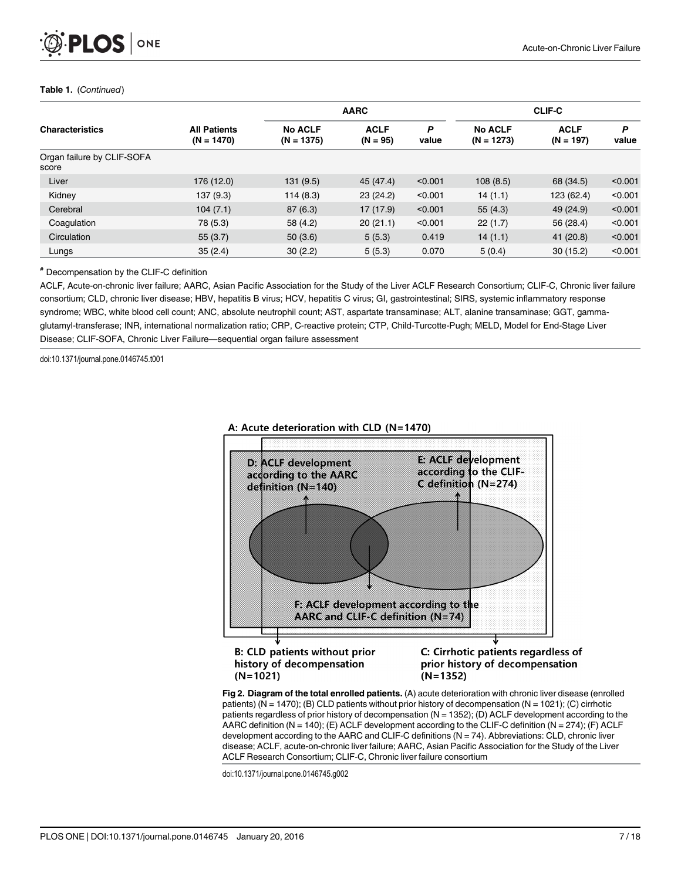<span id="page-6-0"></span>

#### Table 1. (Continued)

| <b>Characteristics</b>              | <b>All Patients</b><br>$(N = 1470)$ | <b>AARC</b>                    |                           |            | <b>CLIF-C</b>                  |                            |            |
|-------------------------------------|-------------------------------------|--------------------------------|---------------------------|------------|--------------------------------|----------------------------|------------|
|                                     |                                     | <b>No ACLF</b><br>$(N = 1375)$ | <b>ACLF</b><br>$(N = 95)$ | P<br>value | <b>No ACLF</b><br>$(N = 1273)$ | <b>ACLF</b><br>$(N = 197)$ | P<br>value |
| Organ failure by CLIF-SOFA<br>score |                                     |                                |                           |            |                                |                            |            |
| Liver                               | 176 (12.0)                          | 131(9.5)                       | 45 (47.4)                 | < 0.001    | 108(8.5)                       | 68 (34.5)                  | < 0.001    |
| Kidney                              | 137 (9.3)                           | 114(8.3)                       | 23(24.2)                  | < 0.001    | 14(1.1)                        | 123 (62.4)                 | < 0.001    |
| Cerebral                            | 104(7.1)                            | 87(6.3)                        | 17(17.9)                  | < 0.001    | 55(4.3)                        | 49 (24.9)                  | < 0.001    |
| Coagulation                         | 78 (5.3)                            | 58 (4.2)                       | 20(21.1)                  | < 0.001    | 22(1.7)                        | 56 (28.4)                  | < 0.001    |
| Circulation                         | 55(3.7)                             | 50(3.6)                        | 5(5.3)                    | 0.419      | 14(1.1)                        | 41 (20.8)                  | < 0.001    |
| Lungs                               | 35(2.4)                             | 30(2.2)                        | 5(5.3)                    | 0.070      | 5(0.4)                         | 30(15.2)                   | < 0.001    |

# Decompensation by the CLIF-C definition

ACLF, Acute-on-chronic liver failure; AARC, Asian Pacific Association for the Study of the Liver ACLF Research Consortium; CLIF-C, Chronic liver failure consortium; CLD, chronic liver disease; HBV, hepatitis B virus; HCV, hepatitis C virus; GI, gastrointestinal; SIRS, systemic inflammatory response syndrome; WBC, white blood cell count; ANC, absolute neutrophil count; AST, aspartate transaminase; ALT, alanine transaminase; GGT, gammaglutamyl-transferase; INR, international normalization ratio; CRP, C-reactive protein; CTP, Child-Turcotte-Pugh; MELD, Model for End-Stage Liver Disease; CLIF-SOFA, Chronic Liver Failure—sequential organ failure assessment

doi:10.1371/journal.pone.0146745.t001



A: Acute deterioration with CLD (N=1470)

history of decompensation  $(N=1021)$ 

C: Cirrhotic patients regardless of prior history of decompensation  $(N=1352)$ 

[Fig 2. D](#page-4-0)iagram of the total enrolled patients. (A) acute deterioration with chronic liver disease (enrolled patients) ( $N = 1470$ ); (B) CLD patients without prior history of decompensation ( $N = 1021$ ); (C) cirrhotic patients regardless of prior history of decompensation (N = 1352); (D) ACLF development according to the AARC definition (N = 140); (E) ACLF development according to the CLIF-C definition (N = 274); (F) ACLF development according to the AARC and CLIF-C definitions (N = 74). Abbreviations: CLD, chronic liver disease; ACLF, acute-on-chronic liver failure; AARC, Asian Pacific Association for the Study of the Liver ACLF Research Consortium; CLIF-C, Chronic liver failure consortium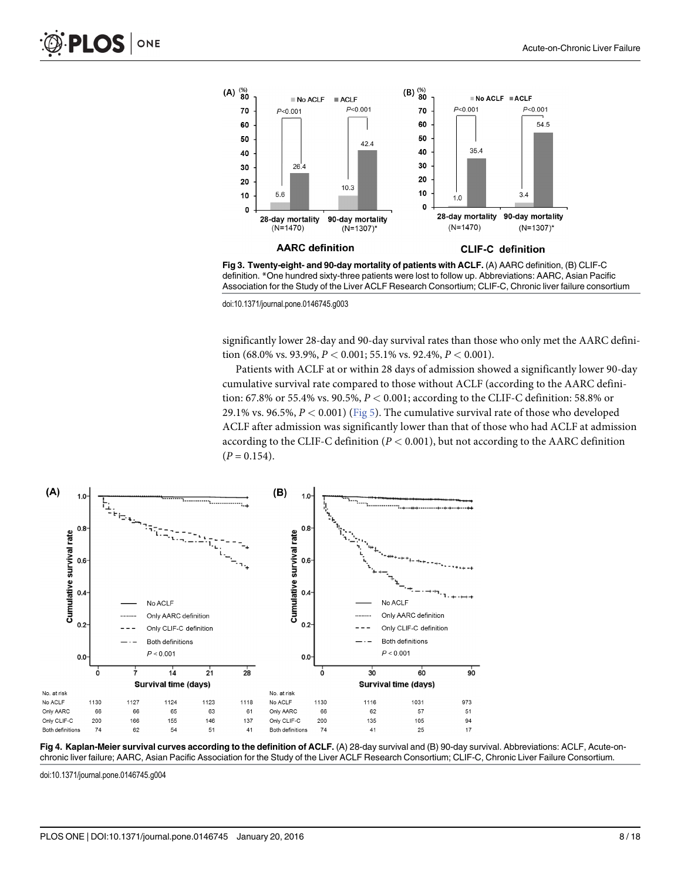<span id="page-7-0"></span>

[Fig 3. T](#page-4-0)wenty-eight- and 90-day mortality of patients with ACLF. (A) AARC definition, (B) CLIF-C definition. \*One hundred sixty-three patients were lost to follow up. Abbreviations: AARC, Asian Pacific Association for the Study of the Liver ACLF Research Consortium; CLIF-C, Chronic liver failure consortium

significantly lower 28-day and 90-day survival rates than those who only met the AARC definition (68.0% vs. 93.9%,  $P < 0.001$ ; 55.1% vs. 92.4%,  $P < 0.001$ ).

Patients with ACLF at or within 28 days of admission showed a significantly lower 90-day cumulative survival rate compared to those without ACLF (according to the AARC definition: 67.8% or 55.4% vs. 90.5%,  $P < 0.001$ ; according to the CLIF-C definition: 58.8% or 29.1% vs. 96.5%,  $P < 0.001$ ) [\(Fig 5](#page-8-0)). The cumulative survival rate of those who developed ACLF after admission was significantly lower than that of those who had ACLF at admission according to the CLIF-C definition ( $P < 0.001$ ), but not according to the AARC definition  $(P = 0.154)$ .



[Fig 4. K](#page-4-0)aplan-Meier survival curves according to the definition of ACLF. (A) 28-day survival and (B) 90-day survival. Abbreviations: ACLF, Acute-onchronic liver failure; AARC, Asian Pacific Association for the Study of the Liver ACLF Research Consortium; CLIF-C, Chronic Liver Failure Consortium.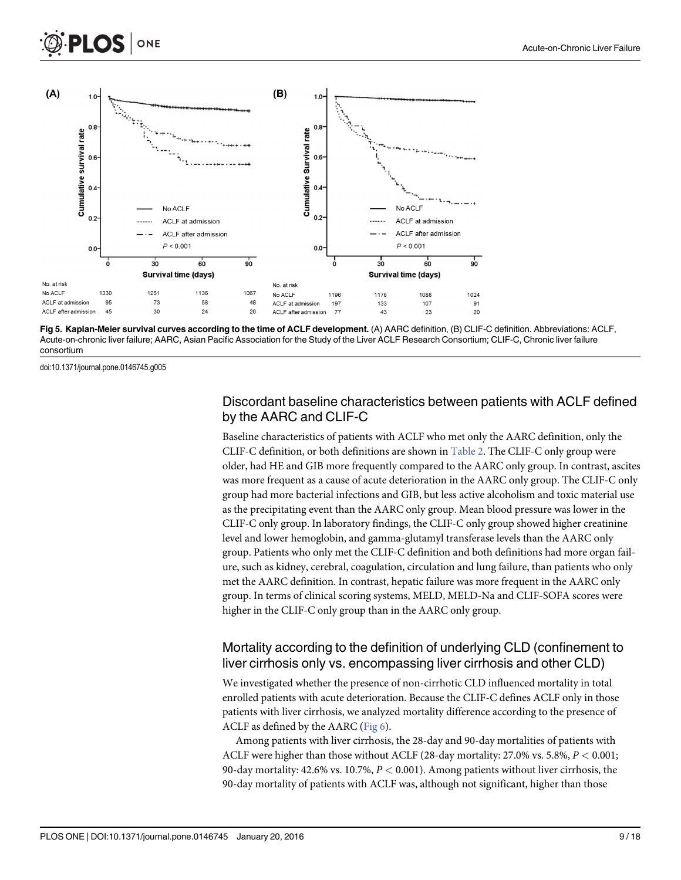<span id="page-8-0"></span>

[Fig 5. K](#page-7-0)aplan-Meier survival curves according to the time of ACLF development. (A) AARC definition, (B) CLIF-C definition. Abbreviations: ACLF, Acute-on-chronic liver failure; AARC, Asian Pacific Association for the Study of the Liver ACLF Research Consortium; CLIF-C, Chronic liver failure consortium

### Discordant baseline characteristics between patients with ACLF defined by the AARC and CLIF-C

Baseline characteristics of patients with ACLF who met only the AARC definition, only the CLIF-C definition, or both definitions are shown in [Table 2.](#page-9-0) The CLIF-C only group were older, had HE and GIB more frequently compared to the AARC only group. In contrast, ascites was more frequent as a cause of acute deterioration in the AARC only group. The CLIF-C only group had more bacterial infections and GIB, but less active alcoholism and toxic material use as the precipitating event than the AARC only group. Mean blood pressure was lower in the CLIF-C only group. In laboratory findings, the CLIF-C only group showed higher creatinine level and lower hemoglobin, and gamma-glutamyl transferase levels than the AARC only group. Patients who only met the CLIF-C definition and both definitions had more organ failure, such as kidney, cerebral, coagulation, circulation and lung failure, than patients who only met the AARC definition. In contrast, hepatic failure was more frequent in the AARC only group. In terms of clinical scoring systems, MELD, MELD-Na and CLIF-SOFA scores were higher in the CLIF-C only group than in the AARC only group.

# Mortality according to the definition of underlying CLD (confinement to liver cirrhosis only vs. encompassing liver cirrhosis and other CLD)

We investigated whether the presence of non-cirrhotic CLD influenced mortality in total enrolled patients with acute deterioration. Because the CLIF-C defines ACLF only in those patients with liver cirrhosis, we analyzed mortality difference according to the presence of ACLF as defined by the AARC ([Fig 6](#page-10-0)).

Among patients with liver cirrhosis, the 28-day and 90-day mortalities of patients with ACLF were higher than those without ACLF (28-day mortality:  $27.0\%$  vs. 5.8%,  $P < 0.001$ ; 90-day mortality: 42.6% vs. 10.7%,  $P < 0.001$ ). Among patients without liver cirrhosis, the 90-day mortality of patients with ACLF was, although not significant, higher than those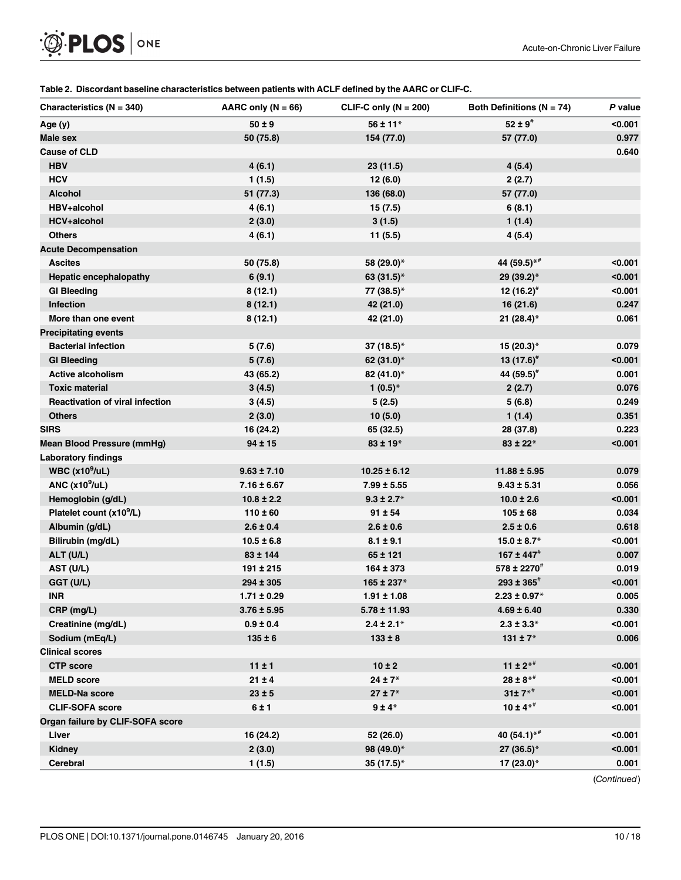<span id="page-9-0"></span>

#### [Table 2.](#page-8-0) Discordant baseline characteristics between patients with ACLF defined by the AARC or CLIF-C.

| Characteristics ( $N = 340$ )          | AARC only $(N = 66)$ | CLIF-C only ( $N = 200$ ) | Both Definitions ( $N = 74$ ) | P value |
|----------------------------------------|----------------------|---------------------------|-------------------------------|---------|
| Age (y)                                | $50 \pm 9$           | $56 \pm 11*$              | $52 \pm 9^{#}$                | < 0.001 |
| Male sex                               | 50 (75.8)            | 154 (77.0)                | 57 (77.0)                     | 0.977   |
| <b>Cause of CLD</b>                    |                      |                           |                               | 0.640   |
| <b>HBV</b>                             | 4(6.1)               | 23(11.5)                  | 4(5.4)                        |         |
| <b>HCV</b>                             | 1(1.5)               | 12(6.0)                   | 2(2.7)                        |         |
| <b>Alcohol</b>                         | 51 (77.3)            | 136 (68.0)                | 57 (77.0)                     |         |
| HBV+alcohol                            | 4(6.1)               | 15(7.5)                   | 6(8.1)                        |         |
| <b>HCV+alcohol</b>                     | 2(3.0)               | 3(1.5)                    | 1(1.4)                        |         |
| <b>Others</b>                          | 4(6.1)               | 11(5.5)                   | 4(5.4)                        |         |
| <b>Acute Decompensation</b>            |                      |                           |                               |         |
| <b>Ascites</b>                         | 50 (75.8)            | 58 (29.0)*                | 44 (59.5)*#                   | < 0.001 |
| <b>Hepatic encephalopathy</b>          | 6(9.1)               | 63 $(31.5)^*$             | 29 (39.2)*                    | < 0.001 |
| <b>GI Bleeding</b>                     | 8(12.1)              | 77 (38.5)*                | 12 $(16.2)^{\#}$              | < 0.001 |
| Infection                              | 8(12.1)              | 42 (21.0)                 | 16(21.6)                      | 0.247   |
| More than one event                    | 8(12.1)              | 42 (21.0)                 | 21 $(28.4)^*$                 | 0.061   |
| <b>Precipitating events</b>            |                      |                           |                               |         |
| <b>Bacterial infection</b>             | 5(7.6)               | 37 (18.5) $*$             | $15(20.3)*$                   | 0.079   |
| <b>GI Bleeding</b>                     | 5(7.6)               | 62 (31.0)*                | 13 $(17.6)$ <sup>#</sup>      | < 0.001 |
| <b>Active alcoholism</b>               | 43 (65.2)            | 82 (41.0)*                | 44 $(59.5)^{\#}$              | 0.001   |
| <b>Toxic material</b>                  | 3(4.5)               | 1 $(0.5)^*$               | 2(2.7)                        | 0.076   |
| <b>Reactivation of viral infection</b> | 3(4.5)               | 5(2.5)                    | 5(6.8)                        | 0.249   |
| <b>Others</b>                          | 2(3.0)               | 10(5.0)                   | 1(1.4)                        | 0.351   |
| <b>SIRS</b>                            | 16 (24.2)            | 65 (32.5)                 | 28 (37.8)                     | 0.223   |
| <b>Mean Blood Pressure (mmHg)</b>      | $94 \pm 15$          | $83 \pm 19$ *             | $83 \pm 22*$                  | < 0.001 |
| <b>Laboratory findings</b>             |                      |                           |                               |         |
| WBC $(x10^9/uL)$                       | $9.63 \pm 7.10$      | $10.25 \pm 6.12$          | $11.88 \pm 5.95$              | 0.079   |
| ANC $(x10^9/uL)$                       | $7.16 \pm 6.67$      | $7.99 \pm 5.55$           | $9.43 \pm 5.31$               | 0.056   |
| Hemoglobin (g/dL)                      | $10.8 \pm 2.2$       | $9.3 \pm 2.7*$            | $10.0 \pm 2.6$                | < 0.001 |
| Platelet count (x10 <sup>9</sup> /L)   | $110 \pm 60$         | $91 \pm 54$               | $105 \pm 68$                  | 0.034   |
| Albumin (g/dL)                         | $2.6 \pm 0.4$        | $2.6 \pm 0.6$             | $2.5 \pm 0.6$                 | 0.618   |
| Bilirubin (mg/dL)                      | $10.5 \pm 6.8$       | $8.1 \pm 9.1$             | $15.0 \pm 8.7*$               | < 0.001 |
| ALT (U/L)                              | $83 \pm 144$         | $65 \pm 121$              | $167 \pm 447$                 | 0.007   |
| AST (U/L)                              | $191 \pm 215$        | $164 \pm 373$             | 578 ± 2270 <sup>#</sup>       | 0.019   |
| GGT (U/L)                              | $294 \pm 305$        | $165 \pm 237*$            | $293 \pm 365^{\text{\#}}$     | < 0.001 |
| <b>INR</b>                             | $1.71 \pm 0.29$      | $1.91 \pm 1.08$           | $2.23 \pm 0.97*$              | 0.005   |
| CRP (mg/L)                             | 3.76 ± 5.95          | 5.78 ± 11.93              | $4.69 \pm 6.40$               | 0.330   |
| Creatinine (mg/dL)                     | $0.9 \pm 0.4$        | $2.4 \pm 2.1*$            | $2.3 \pm 3.3*$                | < 0.001 |
| Sodium (mEq/L)                         | $135 \pm 6$          | $133 \pm 8$               | 131 ± $7*$                    | 0.006   |
| <b>Clinical scores</b>                 |                      |                           |                               |         |
| <b>CTP</b> score                       | 11±1                 | $10 \pm 2$                | 11 ± $2^{**}$                 | < 0.001 |
| <b>MELD</b> score                      | $21 \pm 4$           | $24 \pm 7*$               | $28 \pm 8**$                  | < 0.001 |
| <b>MELD-Na score</b>                   | $23 \pm 5$           | $27 \pm 7*$               | $31±7**$                      | < 0.001 |
| <b>CLIF-SOFA score</b>                 | 6±1                  | $9±4*$                    | $10 \pm 4**$                  | < 0.001 |
| Organ failure by CLIF-SOFA score       |                      |                           |                               |         |
| Liver                                  | 16 (24.2)            | 52 (26.0)                 | 40 $(54.1)*$                  | < 0.001 |
| Kidney                                 | 2(3.0)               | 98 (49.0)*                | $27(36.5)$ *                  | < 0.001 |
| Cerebral                               | 1(1.5)               | $35(17.5)^*$              | 17 (23.0)*                    | 0.001   |

(Continued)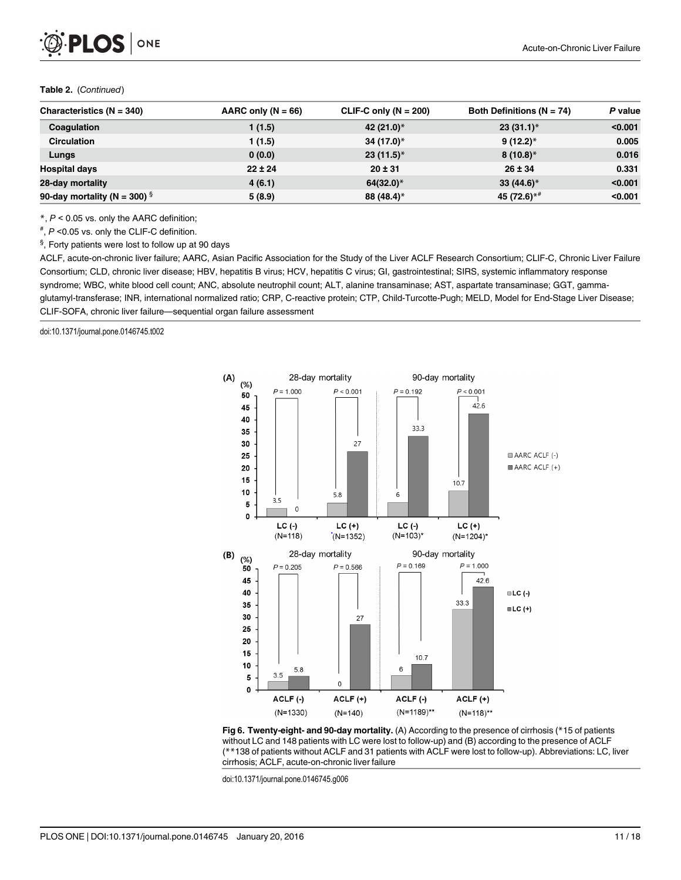#### <span id="page-10-0"></span>Table 2. (Continued)

| Characteristics $(N = 340)$              | AARC only $(N = 66)$ | CLIF-C only $(N = 200)$ | Both Definitions ( $N = 74$ ) | P value |
|------------------------------------------|----------------------|-------------------------|-------------------------------|---------|
| Coaquiation                              | 1 (1.5)              | 42 (21.0)*              | $23(31.1)^*$                  | < 0.001 |
| <b>Circulation</b>                       | 1(1.5)               | 34 (17.0)*              | $9(12.2)^*$                   | 0.005   |
| Lungs                                    | 0(0.0)               | $23(11.5)$ *            | $8(10.8)^*$                   | 0.016   |
| <b>Hospital days</b>                     | $22 \pm 24$          | $20 \pm 31$             | $26 \pm 34$                   | 0.331   |
| 28-day mortality                         | 4(6.1)               | $64(32.0)^*$            | $33(44.6)$ *                  | < 0.001 |
| 90-day mortality (N = 300) $\frac{5}{3}$ | 5(8.9)               | 88 (48.4)*              | 45 (72.6) $*$ <sup>#</sup>    | < 0.001 |

 $*$ ,  $P < 0.05$  vs. only the AARC definition;

# , P <0.05 vs. only the CLIF-C definition.

 $§$ , Forty patients were lost to follow up at 90 days

ACLF, acute-on-chronic liver failure; AARC, Asian Pacific Association for the Study of the Liver ACLF Research Consortium; CLIF-C, Chronic Liver Failure Consortium; CLD, chronic liver disease; HBV, hepatitis B virus; HCV, hepatitis C virus; GI, gastrointestinal; SIRS, systemic inflammatory response syndrome; WBC, white blood cell count; ANC, absolute neutrophil count; ALT, alanine transaminase; AST, aspartate transaminase; GGT, gammaglutamyl-transferase; INR, international normalized ratio; CRP, C-reactive protein; CTP, Child-Turcotte-Pugh; MELD, Model for End-Stage Liver Disease; CLIF-SOFA, chronic liver failure—sequential organ failure assessment

doi:10.1371/journal.pone.0146745.t002



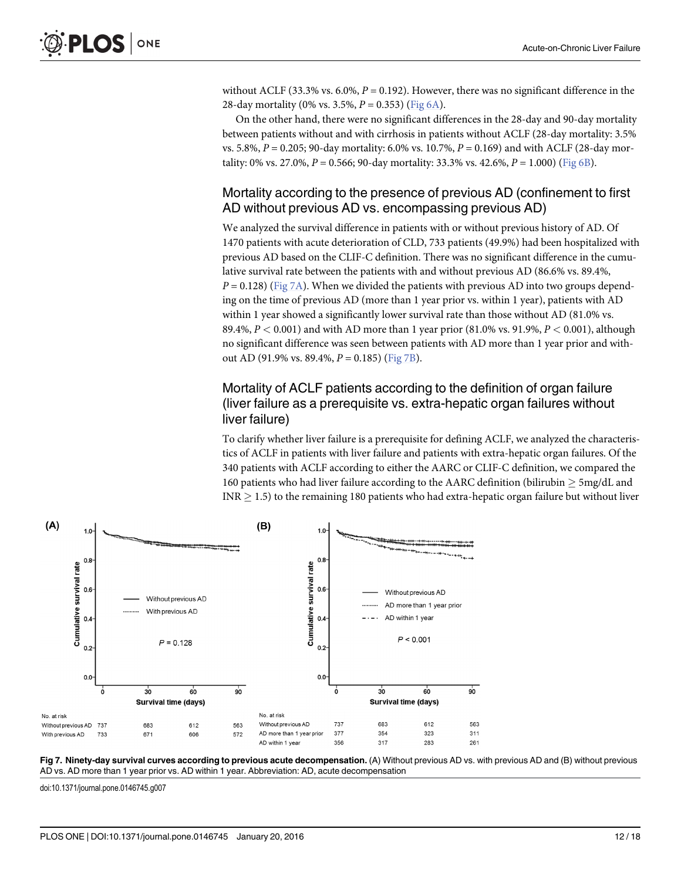without ACLF (33.3% vs. 6.0%,  $P = 0.192$ ). However, there was no significant difference in the 28-day mortality (0% vs. 3.5%,  $P = 0.353$ ) ([Fig 6A](#page-10-0)).

On the other hand, there were no significant differences in the 28-day and 90-day mortality between patients without and with cirrhosis in patients without ACLF (28-day mortality: 3.5% vs. 5.8%,  $P = 0.205$ ; 90-day mortality: 6.0% vs. 10.7%,  $P = 0.169$ ) and with ACLF (28-day mortality: 0% vs. 27.0%,  $P = 0.566$ ; 90-day mortality: 33.3% vs. 42.6%,  $P = 1.000$ ) ([Fig 6B](#page-10-0)).

## Mortality according to the presence of previous AD (confinement to first AD without previous AD vs. encompassing previous AD)

We analyzed the survival difference in patients with or without previous history of AD. Of 1470 patients with acute deterioration of CLD, 733 patients (49.9%) had been hospitalized with previous AD based on the CLIF-C definition. There was no significant difference in the cumulative survival rate between the patients with and without previous AD (86.6% vs. 89.4%,  $P = 0.128$ ) (Fig 7A). When we divided the patients with previous AD into two groups depending on the time of previous AD (more than 1 year prior vs. within 1 year), patients with AD within 1 year showed a significantly lower survival rate than those without AD (81.0% vs. 89.4%,  $P < 0.001$ ) and with AD more than 1 year prior (81.0% vs. 91.9%,  $P < 0.001$ ), although no significant difference was seen between patients with AD more than 1 year prior and without AD (91.9% vs. 89.4%,  $P = 0.185$ ) (Fig 7B).

# Mortality of ACLF patients according to the definition of organ failure (liver failure as a prerequisite vs. extra-hepatic organ failures without liver failure)

To clarify whether liver failure is a prerequisite for defining ACLF, we analyzed the characteristics of ACLF in patients with liver failure and patients with extra-hepatic organ failures. Of the 340 patients with ACLF according to either the AARC or CLIF-C definition, we compared the 160 patients who had liver failure according to the AARC definition (bilirubin  $\geq$  5mg/dL and  $INR > 1.5$ ) to the remaining 180 patients who had extra-hepatic organ failure but without liver



Fig 7. Ninety-day survival curves according to previous acute decompensation. (A) Without previous AD vs. with previous AD and (B) without previous AD vs. AD more than 1 year prior vs. AD within 1 year. Abbreviation: AD, acute decompensation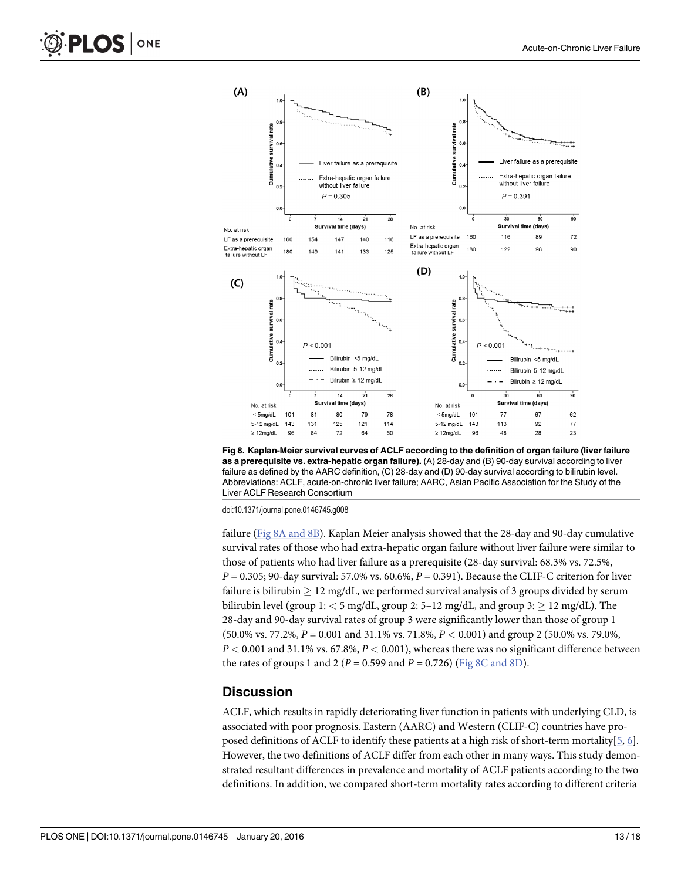<span id="page-12-0"></span>

Fig 8. Kaplan-Meier survival curves of ACLF according to the definition of organ failure (liver failure as a prerequisite vs. extra-hepatic organ failure). (A) 28-day and (B) 90-day survival according to liver failure as defined by the AARC definition, (C) 28-day and (D) 90-day survival according to bilirubin level. Abbreviations: ACLF, acute-on-chronic liver failure; AARC, Asian Pacific Association for the Study of the Liver ACLF Research Consortium

failure (Fig 8A and 8B). Kaplan Meier analysis showed that the 28-day and 90-day cumulative survival rates of those who had extra-hepatic organ failure without liver failure were similar to those of patients who had liver failure as a prerequisite (28-day survival: 68.3% vs. 72.5%,  $P = 0.305$ ; 90-day survival: 57.0% vs. 60.6%,  $P = 0.391$ ). Because the CLIF-C criterion for liver failure is bilirubin  $\geq 12$  mg/dL, we performed survival analysis of 3 groups divided by serum bilirubin level (group  $1:$  < 5 mg/dL, group 2: 5–12 mg/dL, and group  $3:$   $\geq 12$  mg/dL). The 28-day and 90-day survival rates of group 3 were significantly lower than those of group 1 (50.0% vs. 77.2%, P = 0.001 and 31.1% vs. 71.8%, P < 0.001) and group 2 (50.0% vs. 79.0%,  $P < 0.001$  and 31.1% vs. 67.8%,  $P < 0.001$ ), whereas there was no significant difference between the rates of groups 1 and 2 ( $P = 0.599$  and  $P = 0.726$ ) (Fig 8C and 8D).

#### **Discussion**

ACLF, which results in rapidly deteriorating liver function in patients with underlying CLD, is associated with poor prognosis. Eastern (AARC) and Western (CLIF-C) countries have proposed definitions of ACLF to identify these patients at a high risk of short-term mortality  $[5, 6]$  $[5, 6]$  $[5, 6]$  $[5, 6]$ . However, the two definitions of ACLF differ from each other in many ways. This study demonstrated resultant differences in prevalence and mortality of ACLF patients according to the two definitions. In addition, we compared short-term mortality rates according to different criteria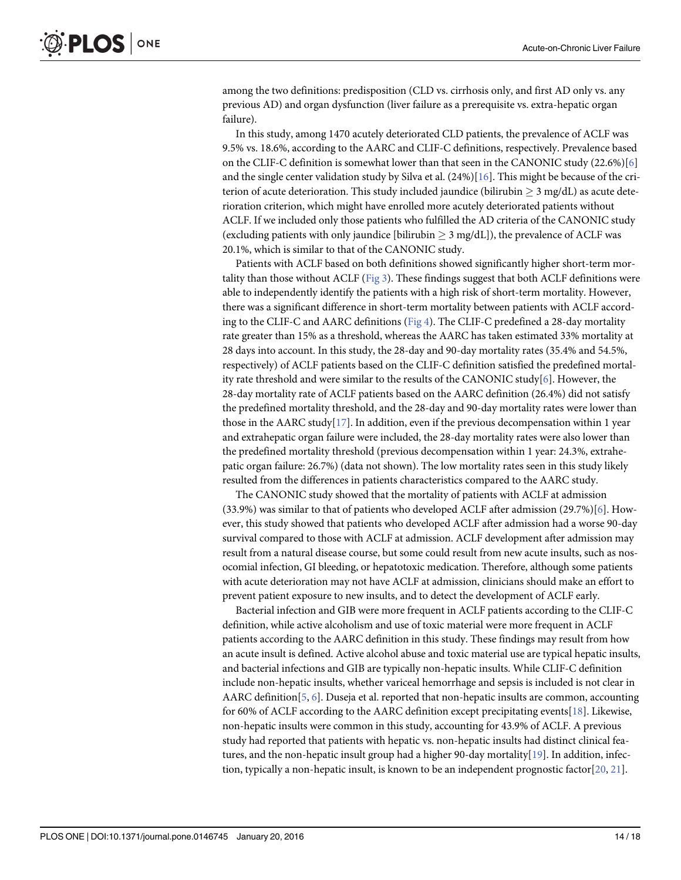<span id="page-13-0"></span>among the two definitions: predisposition (CLD vs. cirrhosis only, and first AD only vs. any previous AD) and organ dysfunction (liver failure as a prerequisite vs. extra-hepatic organ failure).

In this study, among 1470 acutely deteriorated CLD patients, the prevalence of ACLF was 9.5% vs. 18.6%, according to the AARC and CLIF-C definitions, respectively. Prevalence based on the CLIF-C definition is somewhat lower than that seen in the CANONIC study (22.6%)[[6](#page-15-0)] and the single center validation study by Silva et al.  $(24%)$ [\[16\]](#page-16-0). This might be because of the criterion of acute deterioration. This study included jaundice (bilirubin  $\geq 3$  mg/dL) as acute deterioration criterion, which might have enrolled more acutely deteriorated patients without ACLF. If we included only those patients who fulfilled the AD criteria of the CANONIC study (excluding patients with only jaundice [bilirubin  $\geq$  3 mg/dL]), the prevalence of ACLF was 20.1%, which is similar to that of the CANONIC study.

Patients with ACLF based on both definitions showed significantly higher short-term mortality than those without ACLF ([Fig 3](#page-7-0)). These findings suggest that both ACLF definitions were able to independently identify the patients with a high risk of short-term mortality. However, there was a significant difference in short-term mortality between patients with ACLF according to the CLIF-C and AARC definitions ([Fig 4](#page-7-0)). The CLIF-C predefined a 28-day mortality rate greater than 15% as a threshold, whereas the AARC has taken estimated 33% mortality at 28 days into account. In this study, the 28-day and 90-day mortality rates (35.4% and 54.5%, respectively) of ACLF patients based on the CLIF-C definition satisfied the predefined mortal-ity rate threshold and were similar to the results of the CANONIC study[[6](#page-15-0)]. However, the 28-day mortality rate of ACLF patients based on the AARC definition (26.4%) did not satisfy the predefined mortality threshold, and the 28-day and 90-day mortality rates were lower than those in the AARC study[\[17\]](#page-16-0). In addition, even if the previous decompensation within 1 year and extrahepatic organ failure were included, the 28-day mortality rates were also lower than the predefined mortality threshold (previous decompensation within 1 year: 24.3%, extrahepatic organ failure: 26.7%) (data not shown). The low mortality rates seen in this study likely resulted from the differences in patients characteristics compared to the AARC study.

The CANONIC study showed that the mortality of patients with ACLF at admission (33.9%) was similar to that of patients who developed ACLF after admission (29.7%)[\[6](#page-15-0)]. However, this study showed that patients who developed ACLF after admission had a worse 90-day survival compared to those with ACLF at admission. ACLF development after admission may result from a natural disease course, but some could result from new acute insults, such as nosocomial infection, GI bleeding, or hepatotoxic medication. Therefore, although some patients with acute deterioration may not have ACLF at admission, clinicians should make an effort to prevent patient exposure to new insults, and to detect the development of ACLF early.

Bacterial infection and GIB were more frequent in ACLF patients according to the CLIF-C definition, while active alcoholism and use of toxic material were more frequent in ACLF patients according to the AARC definition in this study. These findings may result from how an acute insult is defined. Active alcohol abuse and toxic material use are typical hepatic insults, and bacterial infections and GIB are typically non-hepatic insults. While CLIF-C definition include non-hepatic insults, whether variceal hemorrhage and sepsis is included is not clear in AARC definition[ $5, 6$  $5, 6$ ]. Duseja et al. reported that non-hepatic insults are common, accounting for 60% of ACLF according to the AARC definition except precipitating events[[18](#page-16-0)]. Likewise, non-hepatic insults were common in this study, accounting for 43.9% of ACLF. A previous study had reported that patients with hepatic vs. non-hepatic insults had distinct clinical features, and the non-hepatic insult group had a higher 90-day mortality[\[19\]](#page-16-0). In addition, infection, typically a non-hepatic insult, is known to be an independent prognostic factor  $[20, 21]$  $[20, 21]$  $[20, 21]$ .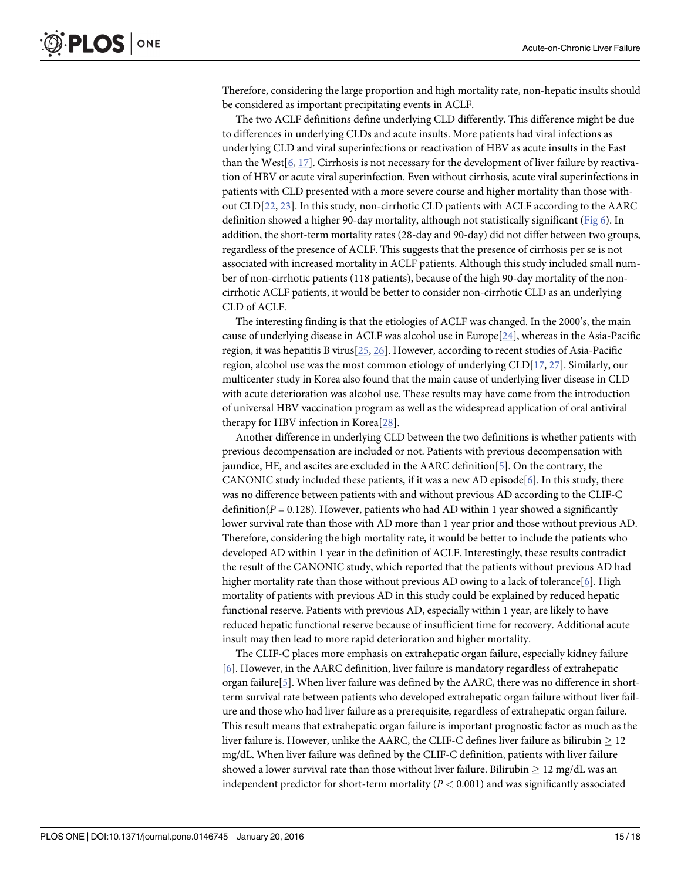<span id="page-14-0"></span>Therefore, considering the large proportion and high mortality rate, non-hepatic insults should be considered as important precipitating events in ACLF.

The two ACLF definitions define underlying CLD differently. This difference might be due to differences in underlying CLDs and acute insults. More patients had viral infections as underlying CLD and viral superinfections or reactivation of HBV as acute insults in the East than the West[[6,](#page-15-0) [17\]](#page-16-0). Cirrhosis is not necessary for the development of liver failure by reactivation of HBV or acute viral superinfection. Even without cirrhosis, acute viral superinfections in patients with CLD presented with a more severe course and higher mortality than those without CLD[\[22,](#page-16-0) [23\]](#page-16-0). In this study, non-cirrhotic CLD patients with ACLF according to the AARC definition showed a higher 90-day mortality, although not statistically significant [\(Fig 6\)](#page-10-0). In addition, the short-term mortality rates (28-day and 90-day) did not differ between two groups, regardless of the presence of ACLF. This suggests that the presence of cirrhosis per se is not associated with increased mortality in ACLF patients. Although this study included small number of non-cirrhotic patients (118 patients), because of the high 90-day mortality of the noncirrhotic ACLF patients, it would be better to consider non-cirrhotic CLD as an underlying CLD of ACLF.

The interesting finding is that the etiologies of ACLF was changed. In the 2000's, the main cause of underlying disease in ACLF was alcohol use in Europe[[24](#page-16-0)], whereas in the Asia-Pacific region, it was hepatitis B virus[[25,](#page-17-0) [26\]](#page-17-0). However, according to recent studies of Asia-Pacific region, alcohol use was the most common etiology of underlying CLD[[17,](#page-16-0) [27\]](#page-17-0). Similarly, our multicenter study in Korea also found that the main cause of underlying liver disease in CLD with acute deterioration was alcohol use. These results may have come from the introduction of universal HBV vaccination program as well as the widespread application of oral antiviral therapy for HBV infection in Korea[\[28\]](#page-17-0).

Another difference in underlying CLD between the two definitions is whether patients with previous decompensation are included or not. Patients with previous decompensation with jaundice, HE, and ascites are excluded in the AARC definition[[5\]](#page-15-0). On the contrary, the CANONIC study included these patients, if it was a new AD episode [\[6](#page-15-0)]. In this study, there was no difference between patients with and without previous AD according to the CLIF-C definition( $P = 0.128$ ). However, patients who had AD within 1 year showed a significantly lower survival rate than those with AD more than 1 year prior and those without previous AD. Therefore, considering the high mortality rate, it would be better to include the patients who developed AD within 1 year in the definition of ACLF. Interestingly, these results contradict the result of the CANONIC study, which reported that the patients without previous AD had higher mortality rate than those without previous AD owing to a lack of tolerance[[6](#page-15-0)]. High mortality of patients with previous AD in this study could be explained by reduced hepatic functional reserve. Patients with previous AD, especially within 1 year, are likely to have reduced hepatic functional reserve because of insufficient time for recovery. Additional acute insult may then lead to more rapid deterioration and higher mortality.

The CLIF-C places more emphasis on extrahepatic organ failure, especially kidney failure [\[6](#page-15-0)]. However, in the AARC definition, liver failure is mandatory regardless of extrahepatic organ failure $[5]$ . When liver failure was defined by the AARC, there was no difference in shortterm survival rate between patients who developed extrahepatic organ failure without liver failure and those who had liver failure as a prerequisite, regardless of extrahepatic organ failure. This result means that extrahepatic organ failure is important prognostic factor as much as the liver failure is. However, unlike the AARC, the CLIF-C defines liver failure as bilirubin  $> 12$ mg/dL. When liver failure was defined by the CLIF-C definition, patients with liver failure showed a lower survival rate than those without liver failure. Bilirubin  $\geq 12$  mg/dL was an independent predictor for short-term mortality ( $P < 0.001$ ) and was significantly associated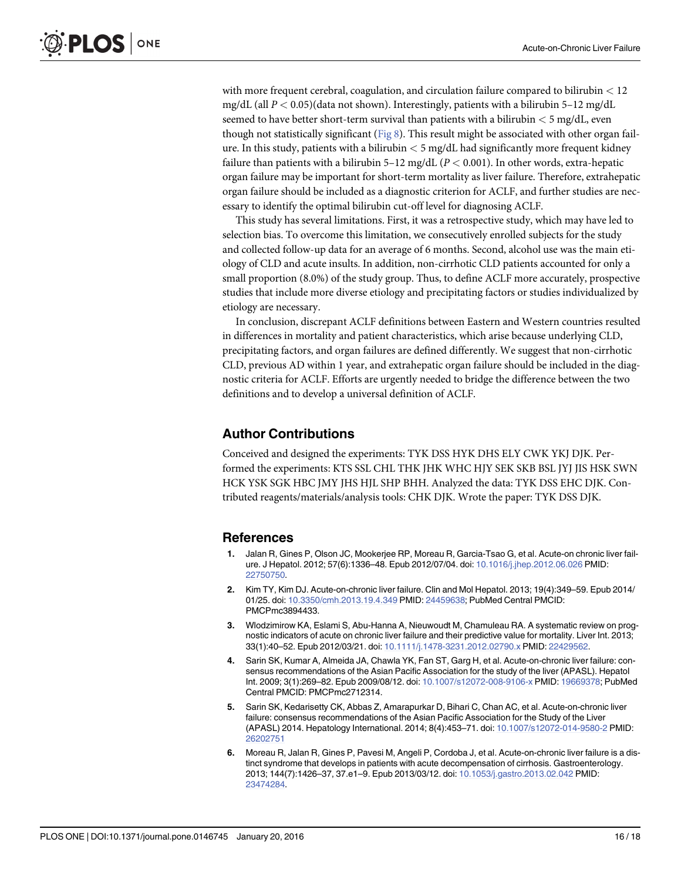<span id="page-15-0"></span>with more frequent cerebral, coagulation, and circulation failure compared to bilirubin < 12 mg/dL (all  $P < 0.05$ )(data not shown). Interestingly, patients with a bilirubin 5–12 mg/dL seemed to have better short-term survival than patients with a bilirubin  $< 5$  mg/dL, even though not statistically significant ( $Fig 8$ ). This result might be associated with other organ failure. In this study, patients with a bilirubin  $\lt$  5 mg/dL had significantly more frequent kidney failure than patients with a bilirubin 5–12 mg/dL ( $P < 0.001$ ). In other words, extra-hepatic organ failure may be important for short-term mortality as liver failure. Therefore, extrahepatic organ failure should be included as a diagnostic criterion for ACLF, and further studies are necessary to identify the optimal bilirubin cut-off level for diagnosing ACLF.

This study has several limitations. First, it was a retrospective study, which may have led to selection bias. To overcome this limitation, we consecutively enrolled subjects for the study and collected follow-up data for an average of 6 months. Second, alcohol use was the main etiology of CLD and acute insults. In addition, non-cirrhotic CLD patients accounted for only a small proportion (8.0%) of the study group. Thus, to define ACLF more accurately, prospective studies that include more diverse etiology and precipitating factors or studies individualized by etiology are necessary.

In conclusion, discrepant ACLF definitions between Eastern and Western countries resulted in differences in mortality and patient characteristics, which arise because underlying CLD, precipitating factors, and organ failures are defined differently. We suggest that non-cirrhotic CLD, previous AD within 1 year, and extrahepatic organ failure should be included in the diagnostic criteria for ACLF. Efforts are urgently needed to bridge the difference between the two definitions and to develop a universal definition of ACLF.

#### Author Contributions

Conceived and designed the experiments: TYK DSS HYK DHS ELY CWK YKJ DJK. Performed the experiments: KTS SSL CHL THK JHK WHC HJY SEK SKB BSL JYJ JIS HSK SWN HCK YSK SGK HBC JMY JHS HJL SHP BHH. Analyzed the data: TYK DSS EHC DJK. Contributed reagents/materials/analysis tools: CHK DJK. Wrote the paper: TYK DSS DJK.

#### References

- [1.](#page-1-0) Jalan R, Gines P, Olson JC, Mookerjee RP, Moreau R, Garcia-Tsao G, et al. Acute-on chronic liver failure. J Hepatol. 2012; 57(6):1336–48. Epub 2012/07/04. doi: [10.1016/j.jhep.2012.06.026](http://dx.doi.org/10.1016/j.jhep.2012.06.026) PMID: [22750750](http://www.ncbi.nlm.nih.gov/pubmed/22750750).
- [2.](#page-1-0) Kim TY, Kim DJ. Acute-on-chronic liver failure. Clin and Mol Hepatol. 2013; 19(4):349–59. Epub 2014/ 01/25. doi: [10.3350/cmh.2013.19.4.349](http://dx.doi.org/10.3350/cmh.2013.19.4.349) PMID: [24459638](http://www.ncbi.nlm.nih.gov/pubmed/24459638); PubMed Central PMCID: PMCPmc3894433.
- [3.](#page-1-0) Wlodzimirow KA, Eslami S, Abu-Hanna A, Nieuwoudt M, Chamuleau RA. A systematic review on prognostic indicators of acute on chronic liver failure and their predictive value for mortality. Liver Int. 2013; 33(1):40–52. Epub 2012/03/21. doi: [10.1111/j.1478-3231.2012.02790.x](http://dx.doi.org/10.1111/j.1478-3231.2012.02790.x) PMID: [22429562.](http://www.ncbi.nlm.nih.gov/pubmed/22429562)
- [4.](#page-1-0) Sarin SK, Kumar A, Almeida JA, Chawla YK, Fan ST, Garg H, et al. Acute-on-chronic liver failure: consensus recommendations of the Asian Pacific Association for the study of the liver (APASL). Hepatol Int. 2009; 3(1):269–82. Epub 2009/08/12. doi: [10.1007/s12072-008-9106-x](http://dx.doi.org/10.1007/s12072-008-9106-x) PMID: [19669378;](http://www.ncbi.nlm.nih.gov/pubmed/19669378) PubMed Central PMCID: PMCPmc2712314.
- [5.](#page-2-0) Sarin SK, Kedarisetty CK, Abbas Z, Amarapurkar D, Bihari C, Chan AC, et al. Acute-on-chronic liver failure: consensus recommendations of the Asian Pacific Association for the Study of the Liver (APASL) 2014. Hepatology International. 2014; 8(4):453–71. doi: [10.1007/s12072-014-9580-2](http://dx.doi.org/10.1007/s12072-014-9580-2) PMID: [26202751](http://www.ncbi.nlm.nih.gov/pubmed/26202751)
- [6.](#page-1-0) Moreau R, Jalan R, Gines P, Pavesi M, Angeli P, Cordoba J, et al. Acute-on-chronic liver failure is a distinct syndrome that develops in patients with acute decompensation of cirrhosis. Gastroenterology. 2013; 144(7):1426–37, 37.e1–9. Epub 2013/03/12. doi: [10.1053/j.gastro.2013.02.042](http://dx.doi.org/10.1053/j.gastro.2013.02.042) PMID: [23474284](http://www.ncbi.nlm.nih.gov/pubmed/23474284).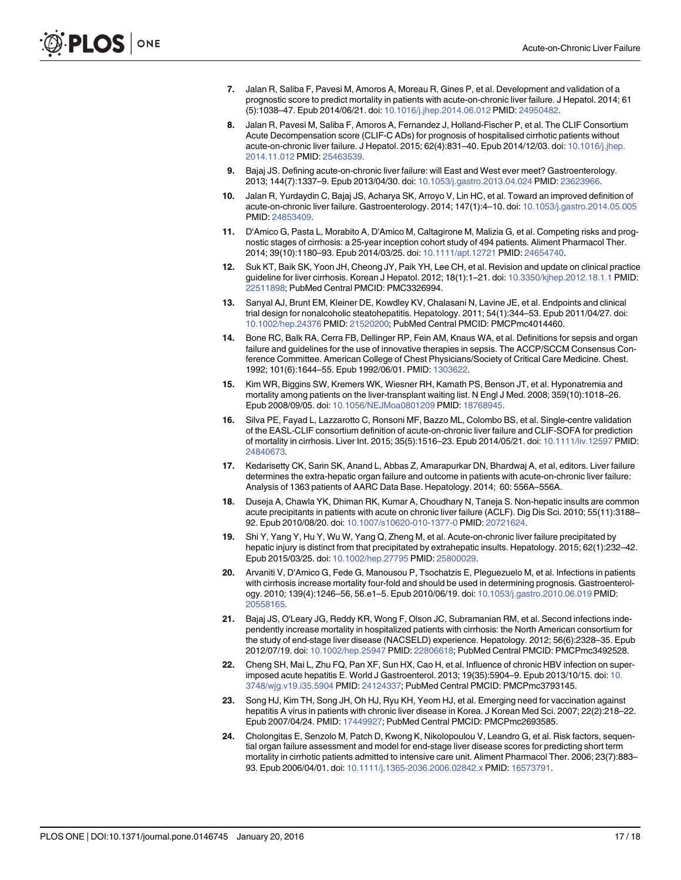- <span id="page-16-0"></span>[7.](#page-2-0) Jalan R, Saliba F, Pavesi M, Amoros A, Moreau R, Gines P, et al. Development and validation of a prognostic score to predict mortality in patients with acute-on-chronic liver failure. J Hepatol. 2014; 61 (5):1038–47. Epub 2014/06/21. doi: [10.1016/j.jhep.2014.06.012](http://dx.doi.org/10.1016/j.jhep.2014.06.012) PMID: [24950482](http://www.ncbi.nlm.nih.gov/pubmed/24950482).
- [8.](#page-2-0) Jalan R, Pavesi M, Saliba F, Amoros A, Fernandez J, Holland-Fischer P, et al. The CLIF Consortium Acute Decompensation score (CLIF-C ADs) for prognosis of hospitalised cirrhotic patients without acute-on-chronic liver failure. J Hepatol. 2015; 62(4):831–40. Epub 2014/12/03. doi: [10.1016/j.jhep.](http://dx.doi.org/10.1016/j.jhep.2014.11.012) [2014.11.012](http://dx.doi.org/10.1016/j.jhep.2014.11.012) PMID: [25463539.](http://www.ncbi.nlm.nih.gov/pubmed/25463539)
- [9.](#page-2-0) Bajaj JS. Defining acute-on-chronic liver failure: will East and West ever meet? Gastroenterology. 2013; 144(7):1337–9. Epub 2013/04/30. doi: [10.1053/j.gastro.2013.04.024](http://dx.doi.org/10.1053/j.gastro.2013.04.024) PMID: [23623966](http://www.ncbi.nlm.nih.gov/pubmed/23623966).
- [10.](#page-2-0) Jalan R, Yurdaydin C, Bajaj JS, Acharya SK, Arroyo V, Lin HC, et al. Toward an improved definition of acute-on-chronic liver failure. Gastroenterology. 2014; 147(1):4–10. doi: [10.1053/j.gastro.2014.05.005](http://dx.doi.org/10.1053/j.gastro.2014.05.005) PMID: [24853409.](http://www.ncbi.nlm.nih.gov/pubmed/24853409)
- [11.](#page-2-0) D'Amico G, Pasta L, Morabito A, D'Amico M, Caltagirone M, Malizia G, et al. Competing risks and prognostic stages of cirrhosis: a 25-year inception cohort study of 494 patients. Aliment Pharmacol Ther. 2014; 39(10):1180-93. Epub 2014/03/25. doi: [10.1111/apt.12721](http://dx.doi.org/10.1111/apt.12721) PMID: [24654740.](http://www.ncbi.nlm.nih.gov/pubmed/24654740)
- [12.](#page-2-0) Suk KT, Baik SK, Yoon JH, Cheong JY, Paik YH, Lee CH, et al. Revision and update on clinical practice guideline for liver cirrhosis. Korean J Hepatol. 2012; 18(1):1–21. doi: [10.3350/kjhep.2012.18.1.1](http://dx.doi.org/10.3350/kjhep.2012.18.1.1) PMID: [22511898](http://www.ncbi.nlm.nih.gov/pubmed/22511898); PubMed Central PMCID: PMC3326994.
- [13.](#page-3-0) Sanyal AJ, Brunt EM, Kleiner DE, Kowdley KV, Chalasani N, Lavine JE, et al. Endpoints and clinical trial design for nonalcoholic steatohepatitis. Hepatology. 2011; 54(1):344–53. Epub 2011/04/27. doi: [10.1002/hep.24376](http://dx.doi.org/10.1002/hep.24376) PMID: [21520200;](http://www.ncbi.nlm.nih.gov/pubmed/21520200) PubMed Central PMCID: PMCPmc4014460.
- [14.](#page-3-0) Bone RC, Balk RA, Cerra FB, Dellinger RP, Fein AM, Knaus WA, et al. Definitions for sepsis and organ failure and guidelines for the use of innovative therapies in sepsis. The ACCP/SCCM Consensus Conference Committee. American College of Chest Physicians/Society of Critical Care Medicine. Chest. 1992; 101(6):1644–55. Epub 1992/06/01. PMID: [1303622](http://www.ncbi.nlm.nih.gov/pubmed/1303622).
- [15.](#page-3-0) Kim WR, Biggins SW, Kremers WK, Wiesner RH, Kamath PS, Benson JT, et al. Hyponatremia and mortality among patients on the liver-transplant waiting list. N Engl J Med. 2008; 359(10):1018–26. Epub 2008/09/05. doi: [10.1056/NEJMoa0801209](http://dx.doi.org/10.1056/NEJMoa0801209) PMID: [18768945.](http://www.ncbi.nlm.nih.gov/pubmed/18768945)
- [16.](#page-13-0) Silva PE, Fayad L, Lazzarotto C, Ronsoni MF, Bazzo ML, Colombo BS, et al. Single-centre validation of the EASL-CLIF consortium definition of acute-on-chronic liver failure and CLIF-SOFA for prediction of mortality in cirrhosis. Liver Int. 2015; 35(5):1516–23. Epub 2014/05/21. doi: [10.1111/liv.12597](http://dx.doi.org/10.1111/liv.12597) PMID: [24840673](http://www.ncbi.nlm.nih.gov/pubmed/24840673).
- [17.](#page-13-0) Kedarisetty CK, Sarin SK, Anand L, Abbas Z, Amarapurkar DN, Bhardwaj A, et al, editors. Liver failure determines the extra-hepatic organ failure and outcome in patients with acute-on-chronic liver failure: Analysis of 1363 patients of AARC Data Base. Hepatology. 2014; 60: 556A–556A.
- [18.](#page-13-0) Duseja A, Chawla YK, Dhiman RK, Kumar A, Choudhary N, Taneja S. Non-hepatic insults are common acute precipitants in patients with acute on chronic liver failure (ACLF). Dig Dis Sci. 2010; 55(11):3188– 92. Epub 2010/08/20. doi: [10.1007/s10620-010-1377-0](http://dx.doi.org/10.1007/s10620-010-1377-0) PMID: [20721624](http://www.ncbi.nlm.nih.gov/pubmed/20721624).
- [19.](#page-13-0) Shi Y, Yang Y, Hu Y, Wu W, Yang Q, Zheng M, et al. Acute-on-chronic liver failure precipitated by hepatic injury is distinct from that precipitated by extrahepatic insults. Hepatology. 2015; 62(1):232–42. Epub 2015/03/25. doi: [10.1002/hep.27795](http://dx.doi.org/10.1002/hep.27795) PMID: [25800029](http://www.ncbi.nlm.nih.gov/pubmed/25800029).
- [20.](#page-13-0) Arvaniti V, D'Amico G, Fede G, Manousou P, Tsochatzis E, Pleguezuelo M, et al. Infections in patients with cirrhosis increase mortality four-fold and should be used in determining prognosis. Gastroenterology. 2010; 139(4):1246–56, 56.e1–5. Epub 2010/06/19. doi: [10.1053/j.gastro.2010.06.019](http://dx.doi.org/10.1053/j.gastro.2010.06.019) PMID: [20558165](http://www.ncbi.nlm.nih.gov/pubmed/20558165).
- [21.](#page-13-0) Bajaj JS, O'Leary JG, Reddy KR, Wong F, Olson JC, Subramanian RM, et al. Second infections independently increase mortality in hospitalized patients with cirrhosis: the North American consortium for the study of end-stage liver disease (NACSELD) experience. Hepatology. 2012; 56(6):2328–35. Epub 2012/07/19. doi: [10.1002/hep.25947](http://dx.doi.org/10.1002/hep.25947) PMID: [22806618;](http://www.ncbi.nlm.nih.gov/pubmed/22806618) PubMed Central PMCID: PMCPmc3492528.
- [22.](#page-14-0) Cheng SH, Mai L, Zhu FQ, Pan XF, Sun HX, Cao H, et al. Influence of chronic HBV infection on superimposed acute hepatitis E. World J Gastroenterol. 2013; 19(35):5904–9. Epub 2013/10/15. doi: [10.](http://dx.doi.org/10.3748/wjg.v19.i35.5904) [3748/wjg.v19.i35.5904](http://dx.doi.org/10.3748/wjg.v19.i35.5904) PMID: [24124337;](http://www.ncbi.nlm.nih.gov/pubmed/24124337) PubMed Central PMCID: PMCPmc3793145.
- [23.](#page-14-0) Song HJ, Kim TH, Song JH, Oh HJ, Ryu KH, Yeom HJ, et al. Emerging need for vaccination against hepatitis A virus in patients with chronic liver disease in Korea. J Korean Med Sci. 2007; 22(2):218–22. Epub 2007/04/24. PMID: [17449927;](http://www.ncbi.nlm.nih.gov/pubmed/17449927) PubMed Central PMCID: PMCPmc2693585.
- [24.](#page-14-0) Cholongitas E, Senzolo M, Patch D, Kwong K, Nikolopoulou V, Leandro G, et al. Risk factors, sequential organ failure assessment and model for end-stage liver disease scores for predicting short term mortality in cirrhotic patients admitted to intensive care unit. Aliment Pharmacol Ther. 2006; 23(7):883– 93. Epub 2006/04/01. doi: [10.1111/j.1365-2036.2006.02842.x](http://dx.doi.org/10.1111/j.1365-2036.2006.02842.x) PMID: [16573791](http://www.ncbi.nlm.nih.gov/pubmed/16573791).